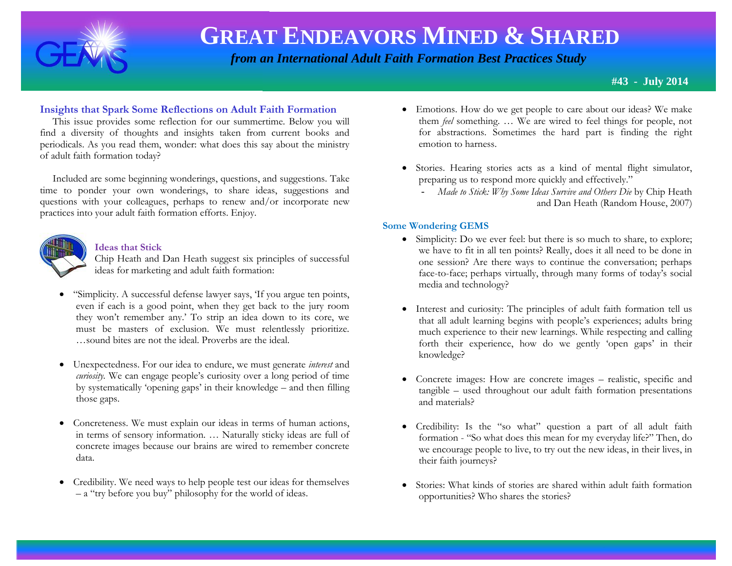

# **GREAT ENDEAVORS MINED & SHARED**

 *from an International Adult Faith Formation Best Practices Study*

**#43 - July 2014**

# **Insights that Spark Some Reflections on Adult Faith Formation**

 This issue provides some reflection for our summertime. Below you will find a diversity of thoughts and insights taken from current books and periodicals. As you read them, wonder: what does this say about the ministry of adult faith formation today?

 Included are some beginning wonderings, questions, and suggestions. Take time to ponder your own wonderings, to share ideas, suggestions and questions with your colleagues, perhaps to renew and/or incorporate new practices into your adult faith formation efforts. Enjoy.



## **Ideas that Stick**

Chip Heath and Dan Heath suggest six principles of successful ideas for marketing and adult faith formation:

- "Simplicity. A successful defense lawyer says, 'If you argue ten points, even if each is a good point, when they get back to the jury room they won't remember any.' To strip an idea down to its core, we must be masters of exclusion. We must relentlessly prioritize. …sound bites are not the ideal. Proverbs are the ideal.
- Unexpectedness. For our idea to endure, we must generate *interest* and *curiosity.* We can engage people's curiosity over a long period of time by systematically 'opening gaps' in their knowledge – and then filling those gaps.
- Concreteness. We must explain our ideas in terms of human actions, in terms of sensory information. … Naturally sticky ideas are full of concrete images because our brains are wired to remember concrete data.
- Credibility. We need ways to help people test our ideas for themselves – a "try before you buy" philosophy for the world of ideas.
- Emotions. How do we get people to care about our ideas? We make them *feel* something. … We are wired to feel things for people, not for abstractions. Sometimes the hard part is finding the right emotion to harness.
- Stories. Hearing stories acts as a kind of mental flight simulator, preparing us to respond more quickly and effectively."
	- *Made to Stick: Why Some Ideas Survive and Others Die* by Chip Heath and Dan Heath (Random House, 2007)

# **Some Wondering GEMS**

- Simplicity: Do we ever feel: but there is so much to share, to explore; we have to fit in all ten points? Really, does it all need to be done in one session? Are there ways to continue the conversation; perhaps face-to-face; perhaps virtually, through many forms of today's social media and technology?
- Interest and curiosity: The principles of adult faith formation tell us that all adult learning begins with people's experiences; adults bring much experience to their new learnings. While respecting and calling forth their experience, how do we gently 'open gaps' in their knowledge?
- Concrete images: How are concrete images realistic, specific and tangible – used throughout our adult faith formation presentations and materials?
- Credibility: Is the "so what" question a part of all adult faith formation - "So what does this mean for my everyday life?" Then, do we encourage people to live, to try out the new ideas, in their lives, in their faith journeys?
- Stories: What kinds of stories are shared within adult faith formation opportunities? Who shares the stories?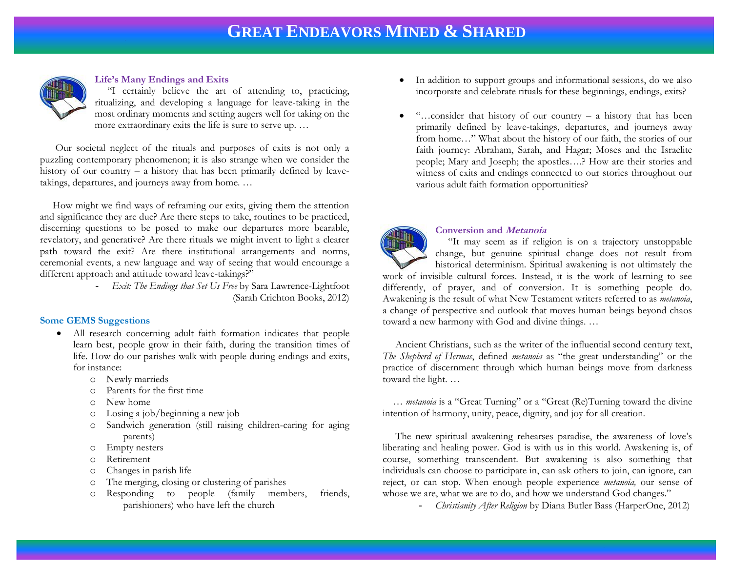

#### **Life's Many Endings and Exits**

 "I certainly believe the art of attending to, practicing, ritualizing, and developing a language for leave-taking in the most ordinary moments and setting augers well for taking on the more extraordinary exits the life is sure to serve up. …

 Our societal neglect of the rituals and purposes of exits is not only a puzzling contemporary phenomenon; it is also strange when we consider the history of our country – a history that has been primarily defined by leavetakings, departures, and journeys away from home. …

 How might we find ways of reframing our exits, giving them the attention and significance they are due? Are there steps to take, routines to be practiced, discerning questions to be posed to make our departures more bearable, revelatory, and generative? Are there rituals we might invent to light a clearer path toward the exit? Are there institutional arrangements and norms, ceremonial events, a new language and way of seeing that would encourage a different approach and attitude toward leave-takings?"

> - *Exit: The Endings that Set Us Free* by Sara Lawrence-Lightfoot (Sarah Crichton Books, 2012)

## **Some GEMS Suggestions**

- All research concerning adult faith formation indicates that people learn best, people grow in their faith, during the transition times of life. How do our parishes walk with people during endings and exits, for instance:
	- o Newly marrieds
	- o Parents for the first time
	- o New home
	- o Losing a job/beginning a new job
	- o Sandwich generation (still raising children-caring for aging parents)
	- o Empty nesters
	- o Retirement
	- o Changes in parish life
	- o The merging, closing or clustering of parishes
	- o Responding to people (family members, friends, parishioners) who have left the church
- $\bullet$  In addition to support groups and informational sessions, do we also incorporate and celebrate rituals for these beginnings, endings, exits?
- "…consider that history of our country a history that has been primarily defined by leave-takings, departures, and journeys away from home…" What about the history of our faith, the stories of our faith journey: Abraham, Sarah, and Hagar; Moses and the Israelite people; Mary and Joseph; the apostles….? How are their stories and witness of exits and endings connected to our stories throughout our various adult faith formation opportunities?



#### **Conversion and Metanoia**

 "It may seem as if religion is on a trajectory unstoppable change, but genuine spiritual change does not result from historical determinism. Spiritual awakening is not ultimately the

work of invisible cultural forces. Instead, it is the work of learning to see differently, of prayer, and of conversion. It is something people do. Awakening is the result of what New Testament writers referred to as *metanoia*, a change of perspective and outlook that moves human beings beyond chaos toward a new harmony with God and divine things. …

 Ancient Christians, such as the writer of the influential second century text, *The Shepherd of Hermas*, defined *metanoia* as "the great understanding" or the practice of discernment through which human beings move from darkness toward the light. …

 … *metanoia* is a "Great Turning" or a "Great (Re)Turning toward the divine intention of harmony, unity, peace, dignity, and joy for all creation.

 The new spiritual awakening rehearses paradise, the awareness of love's liberating and healing power. God is with us in this world. Awakening is, of course, something transcendent. But awakening is also something that individuals can choose to participate in, can ask others to join, can ignore, can reject, or can stop. When enough people experience *metanoia,* our sense of whose we are, what we are to do, and how we understand God changes."

- *Christianity After Religion* by Diana Butler Bass (HarperOne, 2012)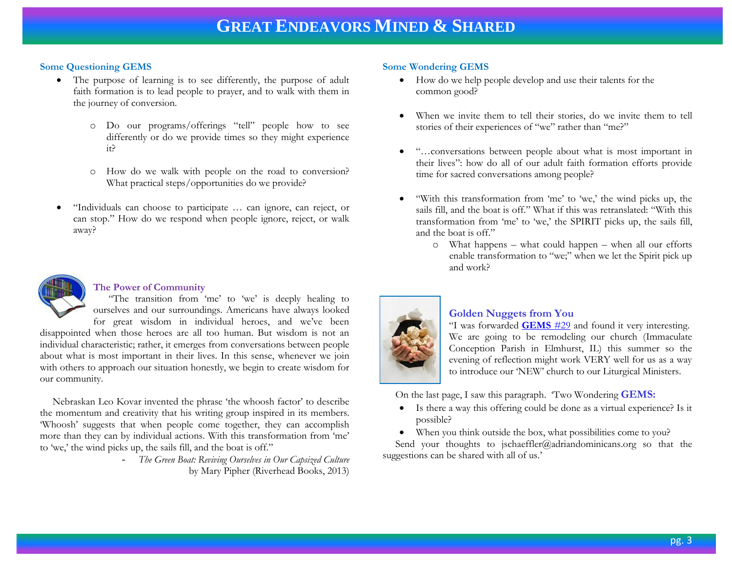# **Some Questioning GEMS**

- The purpose of learning is to see differently, the purpose of adult faith formation is to lead people to prayer, and to walk with them in the journey of conversion.
	- o Do our programs/offerings "tell" people how to see differently or do we provide times so they might experience it?
	- o How do we walk with people on the road to conversion? What practical steps/opportunities do we provide?
- "Individuals can choose to participate … can ignore, can reject, or can stop." How do we respond when people ignore, reject, or walk away?



# **The Power of Community**

 "The transition from 'me' to 'we' is deeply healing to ourselves and our surroundings. Americans have always looked for great wisdom in individual heroes, and we've been

disappointed when those heroes are all too human. But wisdom is not an individual characteristic; rather, it emerges from conversations between people about what is most important in their lives. In this sense, whenever we join with others to approach our situation honestly, we begin to create wisdom for our community.

 Nebraskan Leo Kovar invented the phrase 'the whoosh factor' to describe the momentum and creativity that his writing group inspired in its members. 'Whoosh' suggests that when people come together, they can accomplish more than they can by individual actions. With this transformation from 'me' to 'we,' the wind picks up, the sails fill, and the boat is off."

> - *The Green Boat: Reviving Ourselves in Our Capsized Culture*  by Mary Pipher (Riverhead Books, 2013)

# **Some Wondering GEMS**

- How do we help people develop and use their talents for the common good?
- When we invite them to tell their stories, do we invite them to tell stories of their experiences of "we" rather than "me?"
- "…conversations between people about what is most important in their lives": how do all of our adult faith formation efforts provide time for sacred conversations among people?
- "With this transformation from 'me' to 'we,' the wind picks up, the sails fill, and the boat is off." What if this was retranslated: "With this transformation from 'me' to 'we,' the SPIRIT picks up, the sails fill, and the boat is off."
	- o What happens what could happen when all our efforts enable transformation to "we;" when we let the Spirit pick up and work?



# **Golden Nuggets from You**

"I was forwarded **[GEMS](http://www.janetschaeffler.com/GEMS__29.pdf)** #29 and found it very interesting. We are going to be remodeling our church [\(Immaculate](http://icelmhurst.org/site/cpage.asp?cpage_id=180026326&sec_id=180009300)  [Conception Parish](http://icelmhurst.org/site/cpage.asp?cpage_id=180026326&sec_id=180009300) in Elmhurst, IL) this summer so the evening of reflection might work VERY well for us as a way to introduce our 'NEW' church to our Liturgical Ministers.

On the last page, I saw this paragraph. 'Two Wondering **GEMS:**

- Is there a way this offering could be done as a virtual experience? Is it possible?
- When you think outside the box, what possibilities come to you?

Send your thoughts to [jschaeffler@adriandominicans.org](mailto:jschaeffler@adriandominicans.org) so that the suggestions can be shared with all of us.'